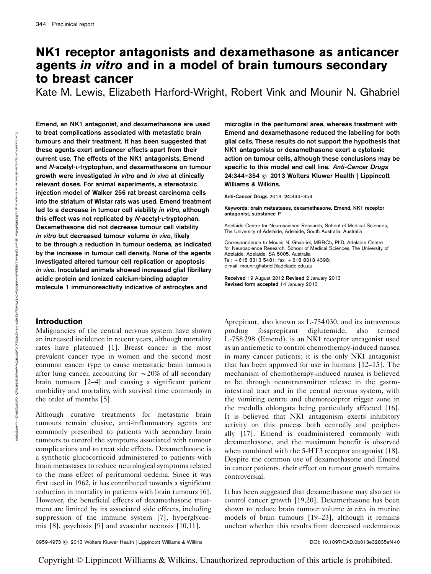# NK1 receptor antagonists and dexamethasone as anticancer agents in vitro and in a model of brain tumours secondary to breast cancer

Kate M. Lewis, Elizabeth Harford-Wright, Robert Vink and Mounir N. Ghabriel

Emend, an NK1 antagonist, and dexamethasone are used to treat complications associated with metastatic brain tumours and their treatment. It has been suggested that these agents exert anticancer effects apart from their current use. The effects of the NK1 antagonists, Emend and N-acetyl-L-tryptophan, and dexamethasone on tumour growth were investigated in vitro and in vivo at clinically relevant doses. For animal experiments, a stereotaxic injection model of Walker 256 rat breast carcinoma cells into the striatum of Wistar rats was used. Emend treatment led to a decrease in tumour cell viability in vitro, although this effect was not replicated by N-acetyl-L-tryptophan. Dexamethasone did not decrease tumour cell viability in vitro but decreased tumour volume in vivo, likely to be through a reduction in tumour oedema, as indicated by the increase in tumour cell density. None of the agents investigated altered tumour cell replication or apoptosis in vivo. Inoculated animals showed increased glial fibrillary acidic protein and ionized calcium-binding adapter molecule 1 immunoreactivity indicative of astrocytes and

# Introduction

Malignancies of the central nervous system have shown an increased incidence in recent years, although mortality rates have plateaued [1]. Breast cancer is the most prevalent cancer type in women and the second most common cancer type to cause metastatic brain tumours after lung cancer, accounting for  $\sim$  20% of all secondary brain tumours [2–4] and causing a significant patient morbidity and mortality, with survival time commonly in the order of months [5].

Although curative treatments for metastatic brain tumours remain elusive, anti-inflammatory agents are commonly prescribed to patients with secondary brain tumours to control the symptoms associated with tumour complications and to treat side effects. Dexamethasone is a synthetic glucocorticoid administered to patients with brain metastases to reduce neurological symptoms related to the mass effect of peritumoral oedema. Since it was first used in 1962, it has contributed towards a significant reduction in mortality in patients with brain tumours [6]. However, the beneficial effects of dexamethasone treatment are limited by its associated side effects, including suppression of the immune system [7], hyperglycaemia [8], psychosis [9] and avascular necrosis [10,11].

microglia in the peritumoral area, whereas treatment with Emend and dexamethasone reduced the labelling for both glial cells. These results do not support the hypothesis that NK1 antagonists or dexamethasone exert a cytotoxic action on tumour cells, although these conclusions may be specific to this model and cell line. Anti-Cancer Drugs 24:344–354 © 2013 Wolters Kluwer Health | Lippincott Williams & Wilkins.

Anti-Cancer Drugs 2013, 24:344–354

Keywords: brain metastases, dexamethasone, Emend, NK1 receptor antagonist, substance P

Adelaide Centre for Neuroscience Research, School of Medical Sciences, The University of Adelaide, Adelaide, South Australia, Australia

Correspondence to Mounir N. Ghabriel, MBBCh, PhD, Adelaide Centre for Neuroscience Research, School of Medical Sciences, The University of Adelaide, Adelaide, SA 5005, Australia Tel: + 618 8313 5481; fax: + 618 8313 4398; e-mail: [mounir.ghabriel@adelaide.edu.au](mailto:mounir.ghabriel@adelaide.edu.au)

Received 19 August 2012 Revised 2 January 2013 Revised form accepted 14 January 2013

Aprepitant, also known as L-754 030, and its intravenous prodrug fosaprepitant diglutemide, also termed L-758 298 (Emend), is an NK1 receptor antagonist used as an antiemetic to control chemotherapy-induced nausea in many cancer patients; it is the only NK1 antagonist that has been approved for use in humans [12–15]. The mechanism of chemotherapy-induced nausea is believed to be through neurotransmitter release in the gastrointestinal tract and in the central nervous system, with the vomiting centre and chemoreceptor trigger zone in the medulla oblongata being particularly affected [16]. It is believed that NK1 antagonism exerts inhibitory activity on this process both centrally and peripherally [17]. Emend is coadministered commonly with dexamethasone, and the maximum benefit is observed when combined with the 5-HT3 receptor antagonist [18]. Despite the common use of dexamethasone and Emend in cancer patients, their effect on tumour growth remains controversial.

It has been suggested that dexamethasone may also act to control cancer growth [19,20]. Dexamethasone has been shown to reduce brain tumour volume *in vivo* in murine models of brain tumours [19–23], although it remains unclear whether this results from decreased oedematous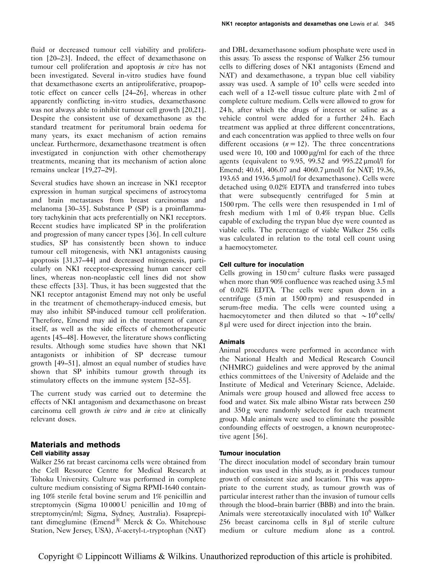fluid or decreased tumour cell viability and proliferation [20–23]. Indeed, the effect of dexamethasone on tumour cell proliferation and apoptosis in vivo has not been investigated. Several in-vitro studies have found that dexamethasone exerts an antiproliferative, proapoptotic effect on cancer cells [24–26], whereas in other apparently conflicting in-vitro studies, dexamethasone was not always able to inhibit tumour cell growth [20,21]. Despite the consistent use of dexamethasone as the standard treatment for peritumoral brain oedema for many years, its exact mechanism of action remains unclear. Furthermore, dexamethasone treatment is often investigated in conjunction with other chemotherapy treatments, meaning that its mechanism of action alone remains unclear [19,27–29].

Several studies have shown an increase in NK1 receptor expression in human surgical specimens of astrocytoma and brain metastases from breast carcinomas and melanoma [30–35]. Substance P (SP) is a proinflammatory tachykinin that acts preferentially on NK1 receptors. Recent studies have implicated SP in the proliferation and progression of many cancer types [36]. In cell culture studies, SP has consistently been shown to induce tumour cell mitogenesis, with NK1 antagonists causing apoptosis [31,37–44] and decreased mitogenesis, particularly on NK1 receptor-expressing human cancer cell lines, whereas non-neoplastic cell lines did not show these effects [33]. Thus, it has been suggested that the NK1 receptor antagonist Emend may not only be useful in the treatment of chemotherapy-induced emesis, but may also inhibit SP-induced tumour cell proliferation. Therefore, Emend may aid in the treatment of cancer itself, as well as the side effects of chemotherapeutic agents [45–48]. However, the literature shows conflicting results. Although some studies have shown that NK1 antagonists or inhibition of SP decrease tumour growth [49–51], almost an equal number of studies have shown that SP inhibits tumour growth through its stimulatory effects on the immune system [52–55].

The current study was carried out to determine the effects of NK1 antagonism and dexamethasone on breast carcinoma cell growth in vitro and in vivo at clinically relevant doses.

# Materials and methods Cell viability assay

Walker 256 rat breast carcinoma cells were obtained from the Cell Resource Centre for Medical Research at Tohoku University. Culture was performed in complete culture medium consisting of Sigma RPMI-1640 containing 10% sterile fetal bovine serum and 1% penicillin and streptomycin (Sigma 10 000 U penicillin and 10 mg of streptomycin/ml; Sigma, Sydney, Australia). Fosaprepitant dimeglumine (Emend® Merck & Co. Whitehouse Station, New Jersey, USA), N-acetyl-L-tryptophan (NAT) and DBL dexamethasone sodium phosphate were used in this assay. To assess the response of Walker 256 tumour cells to differing doses of NK1 antagonists (Emend and NAT) and dexamethasone, a trypan blue cell viability assay was used. A sample of  $10<sup>5</sup>$  cells were seeded into each well of a 12-well tissue culture plate with 2 ml of complete culture medium. Cells were allowed to grow for 24 h, after which the drugs of interest or saline as a vehicle control were added for a further 24 h. Each treatment was applied at three different concentrations, and each concentration was applied to three wells on four different occasions  $(n = 12)$ . The three concentrations used were 10, 100 and  $1000 \mu g/ml$  for each of the three agents (equivalent to 9.95, 99.52 and 995.22  $\mu$ mol/l for Emend: 40.61, 406.07 and 4060.7 umol/l for NAT: 19.36, 193.65 and 1936.5 µmol/l for dexamethasone). Cells were detached using 0.02% EDTA and transferred into tubes that were subsequently centrifuged for 5 min at 1500 rpm. The cells were then resuspended in 1 ml of fresh medium with 1 ml of 0.4% trypan blue. Cells capable of excluding the trypan blue dye were counted as viable cells. The percentage of viable Walker 256 cells was calculated in relation to the total cell count using a haemocytometer.

## Cell culture for inoculation

Cells growing in  $150 \text{ cm}^2$  culture flasks were passaged when more than 90% confluence was reached using 3.5 ml of 0.02% EDTA. The cells were spun down in a centrifuge (5 min at 1500 rpm) and resuspended in serum-free media. The cells were counted using a haemocytometer and then diluted so that  $\sim 10^6$  cells/ 8 µl were used for direct injection into the brain.

## Animals

Animal procedures were performed in accordance with the National Health and Medical Research Council (NHMRC) guidelines and were approved by the animal ethics committees of the University of Adelaide and the Institute of Medical and Veterinary Science, Adelaide. Animals were group housed and allowed free access to food and water. Six male albino Wistar rats between 250 and 350 g were randomly selected for each treatment group. Male animals were used to eliminate the possible confounding effects of oestrogen, a known neuroprotective agent [56].

## Tumour inoculation

The direct inoculation model of secondary brain tumour induction was used in this study, as it produces tumour growth of consistent size and location. This was appropriate to the current study, as tumour growth was of particular interest rather than the invasion of tumour cells through the blood–brain barrier (BBB) and into the brain. Animals were stereotaxically inoculated with 10<sup>6</sup> Walker  $256$  breast carcinoma cells in  $8 \mu$ l of sterile culture medium or culture medium alone as a control.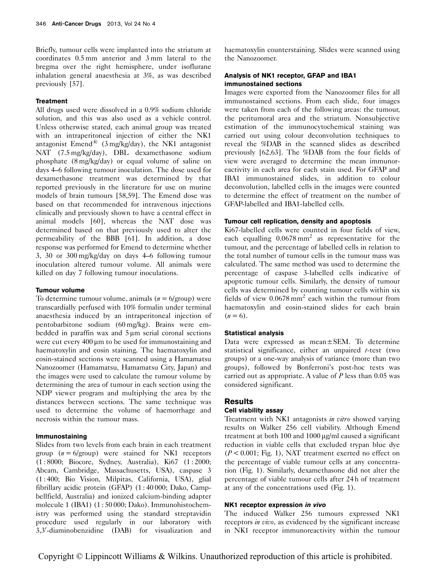Briefly, tumour cells were implanted into the striatum at coordinates 0.5 mm anterior and 3 mm lateral to the bregma over the right hemisphere, under isoflurane inhalation general anaesthesia at 3%, as was described previously [57].

#### **Treatment**

All drugs used were dissolved in a 0.9% sodium chloride solution, and this was also used as a vehicle control. Unless otherwise stated, each animal group was treated with an intraperitoneal injection of either the NK1 antagonist Emend<sup>®</sup> (3 mg/kg/day), the NK1 antagonist NAT (7.5 mg/kg/day), DBL dexamethasone sodium phosphate (8 mg/kg/day) or equal volume of saline on days 4–6 following tumour inoculation. The dose used for dexamethasone treatment was determined by that reported previously in the literature for use on murine models of brain tumours [58,59]. The Emend dose was based on that recommended for intravenous injections clinically and previously shown to have a central effect in animal models [60], whereas the NAT dose was determined based on that previously used to alter the permeability of the BBB [61]. In addition, a dose response was performed for Emend to determine whether 3, 30 or 300 mg/kg/day on days 4–6 following tumour inoculation altered tumour volume. All animals were killed on day 7 following tumour inoculations.

#### Tumour volume

To determine tumour volume, animals  $(n = 6/\text{group})$  were transcardially perfused with 10% formalin under terminal anaesthesia induced by an intraperitoneal injection of pentobarbitone sodium (60 mg/kg). Brains were embedded in paraffin wax and  $5 \mu m$  serial coronal sections were cut every  $400 \mu m$  to be used for immunostaining and haematoxylin and eosin staining. The haematoxylin and eosin-stained sections were scanned using a Hamamatsu Nanozoomer (Hamamatsu, Hamamatsu City, Japan) and the images were used to calculate the tumour volume by determining the area of tumour in each section using the NDP viewer program and multiplying the area by the distances between sections. The same technique was used to determine the volume of haemorrhage and necrosis within the tumour mass.

#### Immunostaining

Slides from two levels from each brain in each treatment group  $(n = 6$ /group) were stained for NK1 receptors (1 : 8000; Biocore, Sydney, Australia), Ki67 (1 : 2000; Abcam, Cambridge, Massachusetts, USA), caspase 3 (1 : 400; Bio Vision, Milpitas, California, USA), glial fibrillary acidic protein (GFAP) (1 : 40 000; Dako, Campbellfield, Australia) and ionized calcium-binding adapter molecule 1 (IBA1) (1 : 50 000; Dako). Immunohistochemistry was performed using the standard streptavidin procedure used regularly in our laboratory with 3,3'-diaminobenzidine (DAB) for visualization and

haematoxylin counterstaining. Slides were scanned using the Nanozoomer.

## Analysis of NK1 receptor, GFAP and IBA1 immunostained sections

Images were exported from the Nanozoomer files for all immunostained sections. From each slide, four images were taken from each of the following areas: the tumour, the peritumoral area and the striatum. Nonsubjective estimation of the immunocytochemical staining was carried out using colour deconvolution techniques to reveal the %DAB in the scanned slides as described previously [62,63]. The %DAB from the four fields of view were averaged to determine the mean immunoreactivity in each area for each stain used. For GFAP and IBA1 immunostained slides, in addition to colour deconvolution, labelled cells in the images were counted to determine the effect of treatment on the number of GFAP-labelled and IBA1-labelled cells.

## Tumour cell replication, density and apoptosis

Ki67-labelled cells were counted in four fields of view, each equalling  $0.0678 \text{ mm}^2$  as representative for the tumour, and the percentage of labelled cells in relation to the total number of tumour cells in the tumour mass was calculated. The same method was used to determine the percentage of caspase 3-labelled cells indicative of apoptotic tumour cells. Similarly, the density of tumour cells was determined by counting tumour cells within six fields of view  $0.0678 \text{ mm}^2$  each within the tumour from haematoxylin and eosin-stained slides for each brain  $(n = 6)$ .

#### Statistical analysis

Data were expressed as mean±SEM. To determine statistical significance, either an unpaired  $t$ -test (two groups) or a one-way analysis of variance (more than two groups), followed by Bonferroni's post-hoc tests was carried out as appropriate. A value of  $P$  less than 0.05 was considered significant.

## Results

#### Cell viability assay

Treatment with NK1 antagonists in vitro showed varying results on Walker 256 cell viability. Although Emend treatment at both 100 and 1000  $\mu$ g/ml caused a significant reduction in viable cells that excluded trypan blue dye  $(P < 0.001$ ; Fig. 1), NAT treatment exerted no effect on the percentage of viable tumour cells at any concentration (Fig. 1). Similarly, dexamethasone did not alter the percentage of viable tumour cells after 24 h of treatment at any of the concentrations used (Fig. 1).

## NK1 receptor expression in vivo

The induced Walker 256 tumours expressed NK1 receptors *in vivo*, as evidenced by the significant increase in NK1 receptor immunoreactivity within the tumour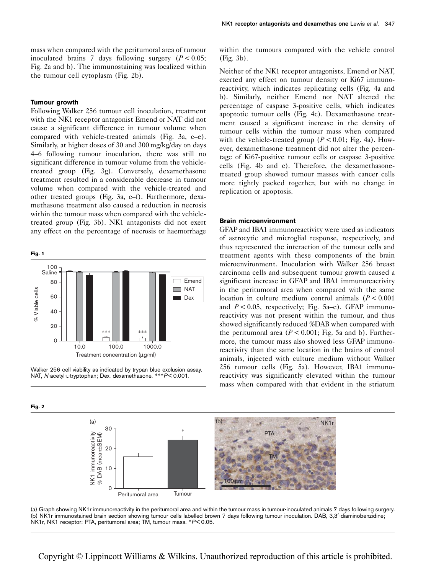mass when compared with the peritumoral area of tumour inoculated brains 7 days following surgery  $(P < 0.05$ ; Fig. 2a and b). The immunostaining was localized within the tumour cell cytoplasm (Fig. 2b).

## Tumour growth

Fig. 2

Following Walker 256 tumour cell inoculation, treatment with the NK1 receptor antagonist Emend or NAT did not cause a significant difference in tumour volume when compared with vehicle-treated animals (Fig. 3a, c–e). Similarly, at higher doses of 30 and 300 mg/kg/day on days 4–6 following tumour inoculation, there was still no significant difference in tumour volume from the vehicletreated group (Fig. 3g). Conversely, dexamethasone treatment resulted in a considerable decrease in tumour volume when compared with the vehicle-treated and other treated groups (Fig. 3a, c–f). Furthermore, dexamethasone treatment also caused a reduction in necrosis within the tumour mass when compared with the vehicletreated group (Fig. 3b). NK1 antagonists did not exert any effect on the percentage of necrosis or haemorrhage



Walker 256 cell viability as indicated by trypan blue exclusion assay. NAT, N-acetyl-L-tryptophan; Dex, dexamethasone. \*\*\*P< 0.001.

within the tumours compared with the vehicle control (Fig. 3b).

Neither of the NK1 receptor antagonists, Emend or NAT, exerted any effect on tumour density or Ki67 immunoreactivity, which indicates replicating cells (Fig. 4a and b). Similarly, neither Emend nor NAT altered the percentage of caspase 3-positive cells, which indicates apoptotic tumour cells (Fig. 4c). Dexamethasone treatment caused a significant increase in the density of tumour cells within the tumour mass when compared with the vehicle-treated group ( $P < 0.01$ ; Fig. 4a). However, dexamethasone treatment did not alter the percentage of Ki67-positive tumour cells or caspase 3-positive cells (Fig. 4b and c). Therefore, the dexamethasonetreated group showed tumour masses with cancer cells more tightly packed together, but with no change in replication or apoptosis.

## Brain microenvironment

GFAP and IBA1 immunoreactivity were used as indicators of astrocytic and microglial response, respectively, and thus represented the interaction of the tumour cells and treatment agents with these components of the brain microenvironment. Inoculation with Walker 256 breast carcinoma cells and subsequent tumour growth caused a significant increase in GFAP and IBA1 immunoreactivity in the peritumoral area when compared with the same location in culture medium control animals  $(P < 0.001$ and  $P < 0.05$ , respectively; Fig. 5a–e). GFAP immunoreactivity was not present within the tumour, and thus showed significantly reduced %DAB when compared with the peritumoral area ( $P < 0.001$ ; Fig. 5a and b). Furthermore, the tumour mass also showed less GFAP immunoreactivity than the same location in the brains of control animals, injected with culture medium without Walker 256 tumour cells (Fig. 5a). However, IBA1 immunoreactivity was significantly elevated within the tumour mass when compared with that evident in the striatum



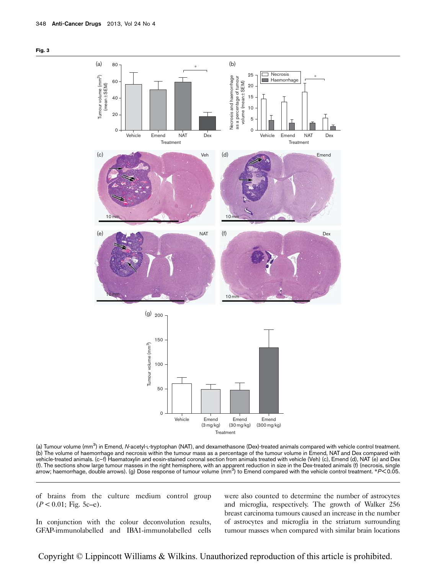



(a) Tumour volume (mm<sup>3</sup>) in Emend, *N*-acetyl-∟-tryptophan (NAT), and dexamethasone (Dex)-treated animals compared with vehicle control treatment. (b) The volume of haemorrhage and necrosis within the tumour mass as a percentage of the tumour volume in Emend, NAT and Dex compared with vehicle-treated animals. (c–f) Haematoxylin and eosin-stained coronal section from animals treated with vehicle (Veh) (c), Emend (d), NAT (e) and Dex (f). The sections show large tumour masses in the right hemisphere, with an apparent reduction in size in the Dex-treated animals (f) (necrosis, single arrow; haemorrhage, double arrows). (g) Dose response of tumour volume (mm<sup>3</sup>) to Emend compared with the vehicle control treatment. \*P<0.05.

of brains from the culture medium control group  $(P < 0.01;$  Fig. 5c–e).

In conjunction with the colour deconvolution results, GFAP-immunolabelled and IBA1-immunolabelled cells

were also counted to determine the number of astrocytes and microglia, respectively. The growth of Walker 256 breast carcinoma tumours caused an increase in the number of astrocytes and microglia in the striatum surrounding tumour masses when compared with similar brain locations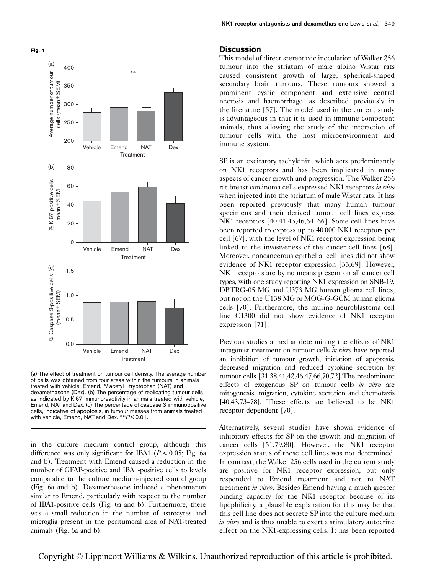

(a) The effect of treatment on tumour cell density. The average number of cells was obtained from four areas within the tumours in animals treated with vehicle, Emend, N-acetyl-L-tryptophan (NAT) and dexamethasone (Dex). (b) The percentage of replicating tumour cells as indicated by Ki67 immunoreactivity in animals treated with vehicle, Emend, NAT and Dex. (c) The percentage of caspase 3 immunopositive cells, indicative of apoptosis, in tumour masses from animals treated with vehicle, Emend, NAT and Dex. \*\*P< 0.01.

in the culture medium control group, although this difference was only significant for IBA1 ( $P < 0.05$ ; Fig. 6a and b). Treatment with Emend caused a reduction in the number of GFAP-positive and IBA1-positive cells to levels comparable to the culture medium-injected control group (Fig. 6a and b). Dexamethasone induced a phenomenon similar to Emend, particularly with respect to the number of IBA1-positive cells (Fig. 6a and b). Furthermore, there was a small reduction in the number of astrocytes and microglia present in the peritumoral area of NAT-treated animals (Fig. 6a and b).

## **Discussion**

This model of direct stereotaxic inoculation of Walker 256 tumour into the striatum of male albino Wistar rats caused consistent growth of large, spherical-shaped secondary brain tumours. These tumours showed a prominent cystic component and extensive central necrosis and haemorrhage, as described previously in the literature [57]. The model used in the current study is advantageous in that it is used in immune-competent animals, thus allowing the study of the interaction of tumour cells with the host microenvironment and immune system.

SP is an excitatory tachykinin, which acts predominantly on NK1 receptors and has been implicated in many aspects of cancer growth and progression. The Walker 256 rat breast carcinoma cells expressed NK1 receptors in vivo when injected into the striatum of male Wistar rats. It has been reported previously that many human tumour specimens and their derived tumour cell lines express NK1 receptors [40,41,43,46,64–66]. Some cell lines have been reported to express up to 40 000 NK1 receptors per cell [67], with the level of NK1 receptor expression being linked to the invasiveness of the cancer cell lines [68]. Moreover, noncancerous epithelial cell lines did not show evidence of NK1 receptor expression [33,69]. However, NK1 receptors are by no means present on all cancer cell types, with one study reporting NK1 expression on SNB-19, DBTRG-05 MG and U373 MG human glioma cell lines, but not on the U138 MG or MOG-G-GCM human glioma cells [70]. Furthermore, the murine neuroblastoma cell line C1300 did not show evidence of NK1 receptor expression [71].

Previous studies aimed at determining the effects of NK1 antagonist treatment on tumour cells in vitro have reported an inhibition of tumour growth, initiation of apoptosis, decreased migration and reduced cytokine secretion by tumour cells [31,38,41,42,46,47,66,70,72].The predominant effects of exogenous SP on tumour cells in vitro are mitogenesis, migration, cytokine secretion and chemotaxis [40,43,73–78]. These effects are believed to be NK1 receptor dependent [70].

Alternatively, several studies have shown evidence of inhibitory effects for SP on the growth and migration of cancer cells [51,79,80]. However, the NK1 receptor expression status of these cell lines was not determined. In contrast, the Walker 256 cells used in the current study are positive for NK1 receptor expression, but only responded to Emend treatment and not to NAT treatment *in vitro*. Besides Emend having a much greater binding capacity for the NK1 receptor because of its lipophilicity, a plausible explanation for this may be that this cell line does not secrete SP into the culture medium in vitro and is thus unable to exert a stimulatory autocrine effect on the NK1-expressing cells. It has been reported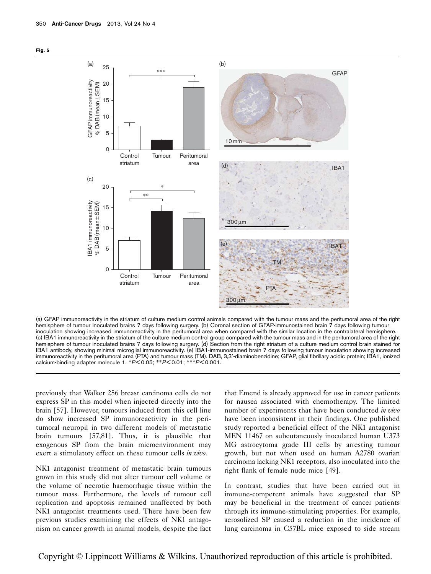

(a) GFAP immunoreactivity in the striatum of culture medium control animals compared with the tumour mass and the peritumoral area of the right hemisphere of tumour inoculated brains 7 days following surgery. (b) Coronal section of GFAP-immunostained brain 7 days following tumour inoculation showing increased immunoreactivity in the peritumoral area when compared with the similar location in the contralateral hemisphere. (c) IBA1 immunoreactivity in the striatum of the culture medium control group compared with the tumour mass and in the peritumoral area of the right hemisphere of tumour inoculated brains 7 days following surgery. (d) Section from the right striatum of a culture medium control brain stained for IBA1 antibody, showing minimal microglial immunoreactivity. (e) IBA1-immunostained brain 7 days following tumour inoculation showing increased immunoreactivity in the peritumoral area (PTA) and tumour mass (TM). DAB, 3,3'-diaminobenzidine; GFAP, glial fibrillary acidic protein; IBA1, ionized calcium-binding adapter molecule 1. \*P< 0.05; \*\*P< 0.01; \*\*\*P< 0.001.

previously that Walker 256 breast carcinoma cells do not express SP in this model when injected directly into the brain [57]. However, tumours induced from this cell line do show increased SP immunoreactivity in the peritumoral neuropil in two different models of metastatic brain tumours [57,81]. Thus, it is plausible that exogenous SP from the brain microenvironment may exert a stimulatory effect on these tumour cells in vivo.

NK1 antagonist treatment of metastatic brain tumours grown in this study did not alter tumour cell volume or the volume of necrotic haemorrhagic tissue within the tumour mass. Furthermore, the levels of tumour cell replication and apoptosis remained unaffected by both NK1 antagonist treatments used. There have been few previous studies examining the effects of NK1 antagonism on cancer growth in animal models, despite the fact

that Emend is already approved for use in cancer patients for nausea associated with chemotherapy. The limited number of experiments that have been conducted in vivo have been inconsistent in their findings. One published study reported a beneficial effect of the NK1 antagonist MEN 11467 on subcutaneously inoculated human U373 MG astrocytoma grade III cells by arresting tumour growth, but not when used on human A2780 ovarian carcinoma lacking NK1 receptors, also inoculated into the right flank of female nude mice [49].

In contrast, studies that have been carried out in immune-competent animals have suggested that SP may be beneficial in the treatment of cancer patients through its immune-stimulating properties. For example, aerosolized SP caused a reduction in the incidence of lung carcinoma in C57BL mice exposed to side stream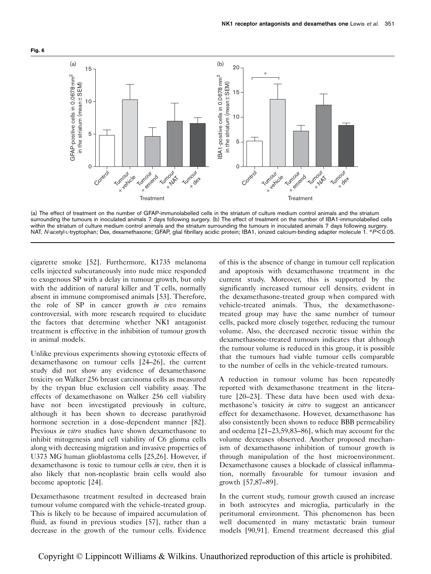

(a) The effect of treatment on the number of GFAP-immunolabelled cells in the striatum of culture medium control animals and the striatum surrounding the tumours in inoculated animals 7 days following surgery. (b) The effect of treatment on the number of IBA1-immunolabelled cells within the striatum of culture medium control animals and the striatum surrounding the tumours in inoculated animals 7 days following surgery. NAT, N-acetyl-L-tryptophan; Dex, dexamethasone; GFAP, glial fibrillary acidic protein; IBA1, ionized calcium-binding adapter molecule 1. \*P< 0.05.

cigarette smoke [52]. Furthermore, K1735 melanoma cells injected subcutaneously into nude mice responded to exogenous SP with a delay in tumour growth, but only with the addition of natural killer and T cells, normally absent in immune compromised animals [53]. Therefore, the role of  $SP$  in cancer growth in vivo remains controversial, with more research required to elucidate the factors that determine whether NK1 antagonist treatment is effective in the inhibition of tumour growth in animal models.

Unlike previous experiments showing cytotoxic effects of dexamethasone on tumour cells [24–26], the current study did not show any evidence of dexamethasone toxicity on Walker 256 breast carcinoma cells as measured by the trypan blue exclusion cell viability assay. The effects of dexamethasone on Walker 256 cell viability have not been investigated previously in culture, although it has been shown to decrease parathyroid hormone secretion in a dose-dependent manner [82]. Previous *in vitro* studies have shown dexamethasone to inhibit mitogenesis and cell viability of C6 glioma cells along with decreasing migration and invasive properties of U373 MG human glioblastoma cells [25,26]. However, if dexamethasone is toxic to tumour cells in vivo, then it is also likely that non-neoplastic brain cells would also become apoptotic [24].

Dexamethasone treatment resulted in decreased brain tumour volume compared with the vehicle-treated group. This is likely to be because of impaired accumulation of fluid, as found in previous studies [57], rather than a decrease in the growth of the tumour cells. Evidence

of this is the absence of change in tumour cell replication and apoptosis with dexamethasone treatment in the current study. Moreover, this is supported by the significantly increased tumour cell density, evident in the dexamethasone-treated group when compared with vehicle-treated animals. Thus, the dexamethasonetreated group may have the same number of tumour cells, packed more closely together, reducing the tumour volume. Also, the decreased necrotic tissue within the dexamethasone-treated tumours indicates that although the tumour volume is reduced in this group, it is possible that the tumours had viable tumour cells comparable to the number of cells in the vehicle-treated tumours.

A reduction in tumour volume has been repeatedly reported with dexamethasone treatment in the literature [20–23]. These data have been used with dexamethasone's toxicity *in vitro* to suggest an anticancer effect for dexamethasone. However, dexamethasone has also consistently been shown to reduce BBB permeability and oedema [21–23,59,83–86], which may account for the volume decreases observed. Another proposed mechanism of dexamethasone inhibition of tumour growth is through manipulation of the host microenvironment. Dexamethasone causes a blockade of classical inflammation, normally favourable for tumour invasion and growth [57,87–89].

In the current study, tumour growth caused an increase in both astrocytes and microglia, particularly in the peritumoral environment. This phenomenon has been well documented in many metastatic brain tumour models [90,91]. Emend treatment decreased this glial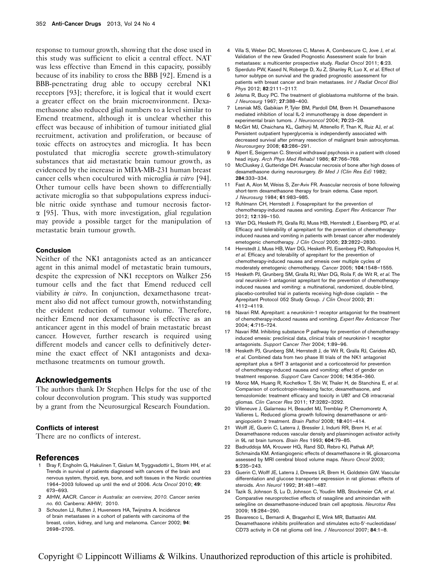response to tumour growth, showing that the dose used in this study was sufficient to elicit a central effect. NAT was less effective than Emend in this capacity, possibly because of its inability to cross the BBB [92]. Emend is a BBB-penetrating drug able to occupy cerebral NK1 receptors [93]; therefore, it is logical that it would exert a greater effect on the brain microenvironment. Dexamethasone also reduced glial numbers to a level similar to Emend treatment, although it is unclear whether this effect was because of inhibition of tumour initiated glial recruitment, activation and proliferation, or because of toxic effects on astrocytes and microglia. It has been postulated that microglia secrete growth-stimulatory substances that aid metastatic brain tumour growth, as evidenced by the increase in MDA-MB-231 human breast cancer cells when cocultured with microglia *in vitro* [94]. Other tumour cells have been shown to differentially activate microglia so that subpopulations express inducible nitric oxide synthase and tumour necrosis factor- $\alpha$  [95]. Thus, with more investigation, glial regulation may provide a possible target for the manipulation of metastatic brain tumour growth.

#### Conclusion

Neither of the NK1 antagonists acted as an anticancer agent in this animal model of metastatic brain tumours, despite the expression of NK1 receptors on Walker 256 tumour cells and the fact that Emend reduced cell viability in vitro. In conjunction, dexamethasone treatment also did not affect tumour growth, notwithstanding the evident reduction of tumour volume. Therefore, neither Emend nor dexamethasone is effective as an anticancer agent in this model of brain metastatic breast cancer. However, further research is required using different models and cancer cells to definitively determine the exact effect of NK1 antagonists and dexamethasone treatments on tumour growth.

#### Acknowledgements

The authors thank Dr Stephen Helps for the use of the colour deconvolution program. This study was supported by a grant from the Neurosurgical Research Foundation.

#### Conflicts of interest

There are no conflicts of interest.

#### References

- Bray F, Engholm G, Hakulinen T, Gislum M, Tryggvadottir L, Storm HH, et al. Trends in survival of patients diagnosed with cancers of the brain and nervous system, thyroid, eye, bone, and soft tissues in the Nordic countries 1964–2003 followed up until the end of 2006. Acta Oncol 2010; 49: 673–693.
- 2 AIHW, AACR. Cancer in Australia: an overview, 2010. Cancer series no. 60. Canberra: AIHW; 2010.
- 3 Schouten LJ, Rutten J, Huveneers HA, Twijnstra A. Incidence of brain metastases in a cohort of patients with carcinoma of the breast, colon, kidney, and lung and melanoma. Cancer 2002; 94: 2698–2705.
- 4 Villa S, Weber DC, Moretones C, Manes A, Combescure C, Jove J, et al. Validation of the new Graded Prognostic Assessment scale for brain metastases: a multicenter prospective study. Radiat Oncol 2011; 6:23.
- 5 Sperduto PW, Kased N, Roberge D, Xu Z, Shanley R, Luo X, et al. Effect of tumor subtype on survival and the graded prognostic assessment for patients with breast cancer and brain metastases. Int J Radiat Oncol Biol Phys 2012; 82:2111–2117.
- 6 Jelsma R, Bucy PC. The treatment of glioblastoma multiforme of the brain. J Neurosurg 1967; 27:388–400.
- 7 Lesniak MS, Gabikian P, Tyler BM, Pardoll DM, Brem H. Dexamethasone mediated inhibition of local IL-2 immunotherapy is dose dependent in experimental brain tumors. J Neurooncol 2004; 70:23–28.
- 8 McGirt MJ, Chaichana KL, Gathinji M, Attenello F, Than K, Ruiz AJ, et al. Persistent outpatient hyperglycemia is independently associated with decreased survival after primary resection of malignant brain astrocytomas. Neurosurgery 2008; 63:286–291.
- 9 Alpert E, Seigerman C. Steroid withdrawal psychosis in a patient with closed head injury. Arch Phys Med Rehabil 1986; 67:766–769.
- 10 McCluskey J, Gutteridge DH. Avascular necrosis of bone after high doses of dexamethasone during neurosurgery. Br Med J (Clin Res Ed) 1982; 284:333–334.
- 11 Fast A, Alon M, Weiss S, Zer-Aviv FR. Avascular necrosis of bone following short-term dexamethasone therapy for brain edema. Case report. J Neurosurg 1984; 61:983–985.
- 12 Ruhlmann CH, Herrstedt J. Fosaprepitant for the prevention of chemotherapy-induced nausea and vomiting. Expert Rev Anticancer Ther 2012; 12:139–150.
- 13 Warr DG, Hesketh PJ, Gralla RJ, Muss HB, Herrstedt J, Eisenberg PD, et al. Efficacy and tolerability of aprepitant for the prevention of chemotherapyinduced nausea and vomiting in patients with breast cancer after moderately emetogenic chemotherapy. J Clin Oncol 2005; 23:2822–2830.
- 14 Herrstedt J, Muss HB, Warr DG, Hesketh PJ, Eisenberg PD, Raftopoulos H, et al. Efficacy and tolerability of aprepitant for the prevention of chemotherapy-induced nausea and emesis over multiple cycles of moderately emetogenic chemotherapy. Cancer 2005; 104:1548–1555.
- 15 Hesketh PJ, Grunberg SM, Gralla RJ, Warr DG, Roila F, de Wit R, et al. The oral neurokinin-1 antagonist aprepitant for the prevention of chemotherapyinduced nausea and vomiting: a multinational, randomized, double-blind, placebo-controlled trial in patients receiving high-dose cisplatin – the Aprepitant Protocol 052 Study Group. J Clin Oncol 2003; 21: 4112–4119.
- 16 Navari RM. Aprepitant: a neurokinin-1 receptor antagonist for the treatment of chemotherapy-induced nausea and vomiting. Expert Rev Anticancer Ther 2004; 4:715–724.
- 17 Navari RM. Inhibiting substance P pathway for prevention of chemotherapyinduced emesis: preclinical data, clinical trials of neurokinin-1 receptor antagonists. Support Cancer Ther 2004; 1:89–96.
- 18 Hesketh PJ, Grunberg SM, Herrstedt J, de Wit R, Gralla RJ, Carides AD, et al. Combined data from two phase III trials of the NK1 antagonist aprepitant plus a 5HT 3 antagonist and a corticosteroid for prevention of chemotherapy-induced nausea and vomiting: effect of gender on treatment response. Support Care Cancer 2006; 14:354–360.
- 19 Moroz MA, Huang R, Kochetkov T, Shi W, Thaler H, de Stanchina E, et al. Comparison of corticotropin-releasing factor, dexamethasone, and temozolomide: treatment efficacy and toxicity in U87 and C6 intracranial gliomas. Clin Cancer Res 2011; 17:3282–3292.
- 20 Villeneuve J, Galarneau H, Beaudet MJ, Tremblay P, Chernomoretz A, Vallieres L. Reduced glioma growth following dexamethasone or antiangiopoietin 2 treatment. Brain Pathol 2008; 18:401–414.
- 21 Wolff JE, Guerin C, Laterra J, Bressler J, Indurti RR, Brem H, et al. Dexamethasone reduces vascular density and plasminogen activator activity in 9L rat brain tumors. Brain Res 1993; 604:79–85.
- 22 Badruddoja MA, Krouwer HG, Rand SD, Rebro KJ, Pathak AP, Schmainda KM. Antiangiogenic effects of dexamethasone in 9L gliosarcoma assessed by MRI cerebral blood volume maps. Neuro Oncol 2003; 5:235–243.
- 23 Guerin C, Wolff JE, Laterra J, Drewes LR, Brem H, Goldstein GW. Vascular differentiation and glucose transporter expression in rat gliomas: effects of steroids. Ann Neurol 1992; 31:481–487.
- 24 Tazik S, Johnson S, Lu D, Johnson C, Youdim MB, Stockmeier CA, et al. Comparative neuroprotective effects of rasagiline and aminoindan with selegiline on dexamethasone-induced brain cell apoptosis. Neurotox Res 2009; 15:284–290.
- 25 Bavaresco L, Bernardi A, Braganhol E, Wink MR, Battastini AM. Dexamethasone inhibits proliferation and stimulates ecto-5'-nucleotidase/ CD73 activity in C6 rat glioma cell line. J Neurooncol 2007; 84:1–8.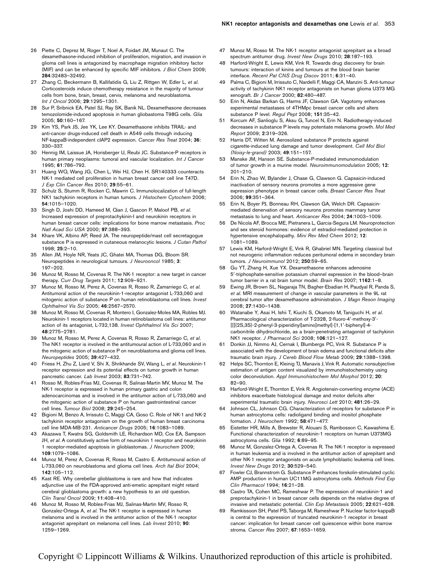- 26 Piette C, Deprez M, Roger T, Noel A, Foidart JM, Munaut C. The dexamethasone-induced inhibition of proliferation, migration, and invasion in glioma cell lines is antagonized by macrophage migration inhibitory factor (MIF) and can be enhanced by specific MIF inhibitors. J Biol Chem 2009; 284:32483–32492.
- 27 Zhang C, Beckermann B, Kallifatidis G, Liu Z, Rittgen W, Edler L, et al. Corticosteroids induce chemotherapy resistance in the majority of tumour cells from bone, brain, breast, cervix, melanoma and neuroblastoma. Int J Oncol 2006; 29:1295–1301.
- 28 Sur P, Sribnick EA, Patel SJ, Ray SK, Banik NL. Dexamethasone decreases temozolomide-induced apoptosis in human gliobastoma T98G cells. Glia 2005; 50:160–167.
- 29 Kim YS, Park JS, Jee YK, Lee KY. Dexamethasone inhibits TRAIL- and anti-cancer drugs-induced cell death in A549 cells through inducing NF-kappaB-independent cIAP2 expression. Cancer Res Treat 2004; 36: 330–337.
- 30 Hennig IM, Laissue JA, Horisberger U, Reubi JC. Substance-P receptors in human primary neoplasms: tumoral and vascular localization. Int J Cancer 1995; 61:786–792.
- Huang WQ, Wang JG, Chen L, Wei HJ, Chen H. SR140333 counteracts NK-1 mediated cell proliferation in human breast cancer cell line T47D. J Exp Clin Cancer Res 2010; 29:55–61.
- 32 Schulz S, Stumm R, Rocken C, Mawrin C. Immunolocalization of full-length NK1 tachykinin receptors in human tumors. J Histochem Cytochem 2006; 54:1015–1020.
- 33 Singh D, Joshi DD, Hameed M, Qian J, Gascon P, Maloof PB, et al. Increased expression of preprotachykinin-I and neurokinin receptors in human breast cancer cells: implications for bone marrow metastasis. Proc Natl Acad Sci USA 2000; 97:388–393.
- 34 Khare VK, Albino AP, Reed JA. The neuropeptide/mast cell secretagogue substance P is expressed in cutaneous melanocytic lesions. J Cutan Pathol 1998; 25:2–10.
- 35 Allen JM, Hoyle NR, Yeats JC, Ghatei MA, Thomas DG, Bloom SR. Neuropeptides in neurological tumours. J Neurooncol 1985; 3: 197–202.
- 36 Munoz M, Rosso M, Covenas R. The NK-1 receptor: a new target in cancer therapy. Curr Drug Targets 2011; 12:909–921.
- Munoz M, Rosso M, Perez A, Covenas R, Rosso R, Zamarriego C, et al. Antitumoral action of the neurokinin-1-receptor antagonist L-733,060 and mitogenic action of substance P on human retinoblastoma cell lines. Invest Ophthalmol Vis Sci 2005; 46:2567–2570.
- 38 Munoz M, Rosso M, Covenas R, Montero I, Gonzalez-Moles MA, Robles MJ. Neurokinin-1 receptors located in human retinoblastoma cell lines: antitumor action of its antagonist, L-732,138. Invest Ophthalmol Vis Sci 2007; 48:2775–2781.
- 39 Munoz M, Rosso M, Perez A, Covenas R, Rosso R, Zamarriego C, et al. The NK1 receptor is involved in the antitumoural action of L-733,060 and in the mitogenic action of substance P on neuroblastoma and glioma cell lines. Neuropeptides 2005; 39:427–432.
- 40 Friess H, Zhu Z, Liard V, Shi X, Shrikhande SV, Wang L, et al. Neurokinin-1 receptor expression and its potential effects on tumor growth in human pancreatic cancer. Lab Invest 2003; 83:731–742.
- 41 Rosso M, Robles-Frias MJ, Covenas R, Salinas-Martin MV, Munoz M. The NK-1 receptor is expressed in human primary gastric and colon adenocarcinomas and is involved in the antitumor action of L-733,060 and the mitogenic action of substance P on human gastrointestinal cancer cell lines. Tumour Biol 2008; 29:245–254.
- 42 Bigioni M, Benzo A, Irrissuto C, Maggi CA, Goso C. Role of NK-1 and NK-2 tachykinin receptor antagonism on the growth of human breast carcinoma cell line MDA-MB-231. Anticancer Drugs 2005; 16:1083–1089.
- Akazawa T, Kwatra SG, Goldsmith LE, Richardson MD, Cox EA, Sampson JH, et al. A constitutively active form of neurokinin 1 receptor and neurokinin 1 receptor-mediated apoptosis in glioblastomas. J Neurochem 2009; 109:1079–1086.
- 44 Munoz M, Perez A, Covenas R, Rosso M, Castro E. Antitumoural action of L-733,060 on neuroblastoma and glioma cell lines. Arch Ital Biol 2004; 142:105–112.
- 45 Kast RE. Why cerebellar glioblastoma is rare and how that indicates adjunctive use of the FDA-approved anti-emetic aprepitant might retard cerebral glioblastoma growth: a new hypothesis to an old question. Clin Transl Oncol 2009; 11:408–410.
- 46 Munoz M, Rosso M, Robles-Frias MJ, Salinas-Martin MV, Rosso R, Gonzalez-Ortega A, et al. The NK-1 receptor is expressed in human melanoma and is involved in the antitumor action of the NK-1 receptor antagonist aprepitant on melanoma cell lines. Lab Invest 2010; 90: 1259–1269.
- 47 Munoz M, Rosso M. The NK-1 receptor antagonist aprepitant as a broad spectrum antitumor drug. Invest New Drugs 2010; 28:187-193.
- 48 Harford-Wright E, Lewis KM, Vink R. Towards drug discovery for brain tumours: interaction of kinins and tumours at the blood brain barrier interface. Recent Pat CNS Drug Discov 2011; 6:31–40.
- 49 Palma C, Bigioni M, Irrissuto C, Nardelli F, Maggi CA, Manzini S. Anti-tumour activity of tachykinin NK1 receptor antagonists on human glioma U373 MG xenograft. Br J Cancer 2000; 82:480-487.
- 50 Erin N, Akdas Barkan G, Harms JF, Clawson GA. Vagotomy enhances experimental metastases of 4THMpc breast cancer cells and alters substance P level. Regul Pept 2008; 151:35–42.
- 51 Korcum AF, Sanlioglu S, Aksu G, Tuncel N, Erin N. Radiotherapy-induced decreases in substance P levels may potentiate melanoma growth. Mol Med Report 2009; 2:319–326.
- 52 Harris DT, Witten M. Aerosolized substance P protects against cigarette-induced lung damage and tumor development. Cell Mol Biol (Noisy-le-grand) 2003; 49:151–157.
- 53 Manske JM, Hanson SE. Substance-P-mediated immunomodulation of tumor growth in a murine model. Neuroimmunomodulation 2005; 12: 201–210.
- 54 Erin N, Zhao W, Bylander J, Chase G, Clawson G. Capsaicin-induced inactivation of sensory neurons promotes a more aggressive gene expression phenotype in breast cancer cells. Breast Cancer Res Treat 2006; 99:351–364.
- 55 Erin N, Boyer PJ, Bonneau RH, Clawson GA, Welch DR. Capsaicinmediated denervation of sensory neurons promotes mammary tumor metastasis to lung and heart. Anticancer Res 2004; 24:1003–1009.
- 56 De Nicola AF, Brocca ME, Pietranera L, Garcia-Segura LM. Neuroprotection and sex steroid hormones: evidence of estradiol-mediated protection in hypertensive encephalopathy. Mini Rev Med Chem 2012; 12: 1081–1089.
- 57 Lewis KM, Harford-Wright E, Vink R, Ghabriel MN. Targeting classical but not neurogenic inflammation reduces peritumoral edema in secondary brain tumors. J Neuroimmunol 2012; 250:59–65.
- 58 Gu YT, Zhang H, Xue YX. Dexamethasone enhances adenosine 5'-triphosphate-sensitive potassium channel expression in the blood-brain tumor barrier in a rat brain tumor model. Brain Res 2007; 1162:1-8.
- Ewing JR, Brown SL, Nagaraja TN, Bagher-Ebadian H, Paudyal R, Panda S, et al. MRI measurement of change in vascular parameters in the 9L rat cerebral tumor after dexamethasone administration. J Magn Reson Imaging 2008; 27:1430–1438.
- 60 Watanabe Y, Asai H, Ishii T, Kiuchi S, Okamoto M, Taniguchi H, et al. Pharmacological characterization of T-2328, 2-fluoro-4'-methoxy-3'-[[(2S,3S)-2-phenyl-3-piperidinyl]amino]methyl]-[1,1'-biphenyl]-4carbonitrile dihydrochloride, as a brain-penetrating antagonist of tachykinin NK1 receptor. J Pharmacol Sci 2008; 106:121–127.
- 61 Donkin JJ, Nimmo AJ, Cernak I, Blumbergs PC, Vink R. Substance P is associated with the development of brain edema and functional deficits after traumatic brain injury. J Cereb Blood Flow Metab 2009; 29:1388–1398.
- 62 Helps SC, Thornton E, Kleinig TJ, Manavis J, Vink R. Automatic nonsubjective estimation of antigen content visualized by immunohistochemistry using color deconvolution. Appl Immunohistochem Mol Morphol 2012; 20: 82–90.
- 63 Harford-Wright E, Thornton E, Vink R. Angiotensin-converting enzyme (ACE) inhibitors exacerbate histological damage and motor deficits after experimental traumatic brain injury. Neurosci Lett 2010; 481:26–29.
- 64 Johnson CL, Johnson CG. Characterization of receptors for substance P in human astrocytoma cells: radioligand binding and inositol phosphate formation. J Neurochem 1992; 58:471–477.
- 65 Eistetter HR, Mills A, Brewster R, Alouani S, Rambosson C, Kawashima E. Functional characterization of neurokinin-1 receptors on human U373MG astrocytoma cells. Glia 1992; 6:89–95.
- 66 Munoz M, Gonzalez-Ortega A, Covenas R. The NK-1 receptor is expressed in human leukemia and is involved in the antitumor action of aprepitant and other NK-1 receptor antagonists on acute lymphoblastic leukemia cell lines. Invest New Drugs 2012; 30:529–540.
- 67 Fowler CJ, Brannstrom G. Substance P enhances forskolin-stimulated cyclic AMP production in human UC11MG astrocytoma cells. Methods Find Exp Clin Pharmacol 1994; 16:21–28.
- 68 Castro TA, Cohen MC, Rameshwar P. The expression of neurokinin-1 and preprotachykinin-1 in breast cancer cells depends on the relative degree of invasive and metastatic potential. Clin Exp Metastasis 2005; 22:621-628.
- Ramkissoon SH, Patel PS, Taborga M, Rameshwar P. Nuclear factor-kappaB is central to the expression of truncated neurokinin-1 receptor in breast cancer: implication for breast cancer cell quiescence within bone marrow stroma. Cancer Res 2007; 67:1653–1659.